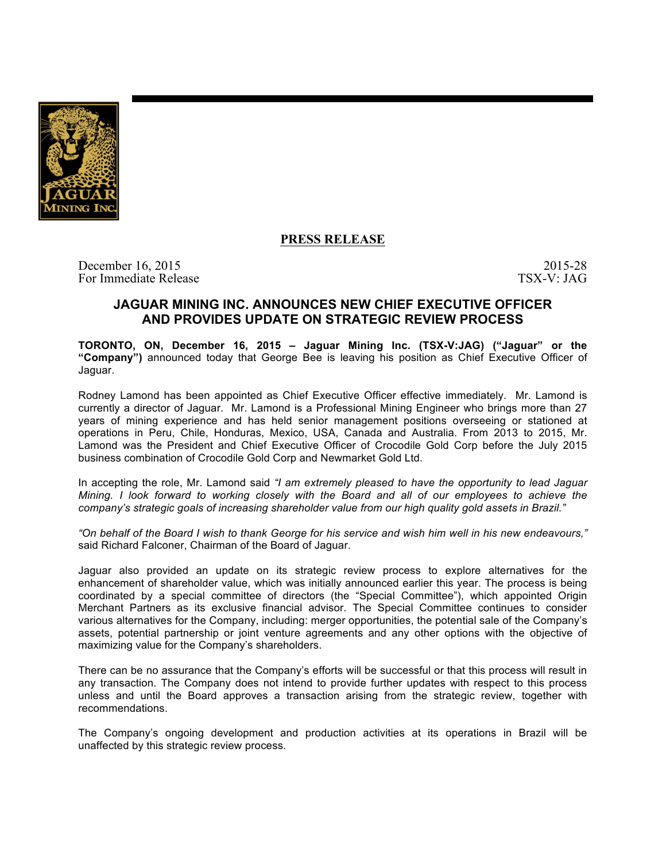

## **PRESS RELEASE**

December 16, 2015 2015 2015 2015 For Immediate Release TSX-V: JAG

## **JAGUAR MINING INC. ANNOUNCES NEW CHIEF EXECUTIVE OFFICER AND PROVIDES UPDATE ON STRATEGIC REVIEW PROCESS**

**TORONTO, ON, December 16, 2015 – Jaguar Mining Inc. (TSX-V:JAG) ("Jaguar" or the "Company")** announced today that George Bee is leaving his position as Chief Executive Officer of Jaguar.

Rodney Lamond has been appointed as Chief Executive Officer effective immediately. Mr. Lamond is currently a director of Jaguar. Mr. Lamond is a Professional Mining Engineer who brings more than 27 years of mining experience and has held senior management positions overseeing or stationed at operations in Peru, Chile, Honduras, Mexico, USA, Canada and Australia. From 2013 to 2015, Mr. Lamond was the President and Chief Executive Officer of Crocodile Gold Corp before the July 2015 business combination of Crocodile Gold Corp and Newmarket Gold Ltd.

In accepting the role, Mr. Lamond said *"I am extremely pleased to have the opportunity to lead Jaguar Mining. I look forward to working closely with the Board and all of our employees to achieve the company's strategic goals of increasing shareholder value from our high quality gold assets in Brazil."*

*"On behalf of the Board I wish to thank George for his service and wish him well in his new endeavours,"* said Richard Falconer, Chairman of the Board of Jaguar.

Jaguar also provided an update on its strategic review process to explore alternatives for the enhancement of shareholder value, which was initially announced earlier this year. The process is being coordinated by a special committee of directors (the "Special Committee"), which appointed Origin Merchant Partners as its exclusive financial advisor. The Special Committee continues to consider various alternatives for the Company, including: merger opportunities, the potential sale of the Company's assets, potential partnership or joint venture agreements and any other options with the objective of maximizing value for the Company's shareholders.

There can be no assurance that the Company's efforts will be successful or that this process will result in any transaction. The Company does not intend to provide further updates with respect to this process unless and until the Board approves a transaction arising from the strategic review, together with recommendations.

The Company's ongoing development and production activities at its operations in Brazil will be unaffected by this strategic review process.